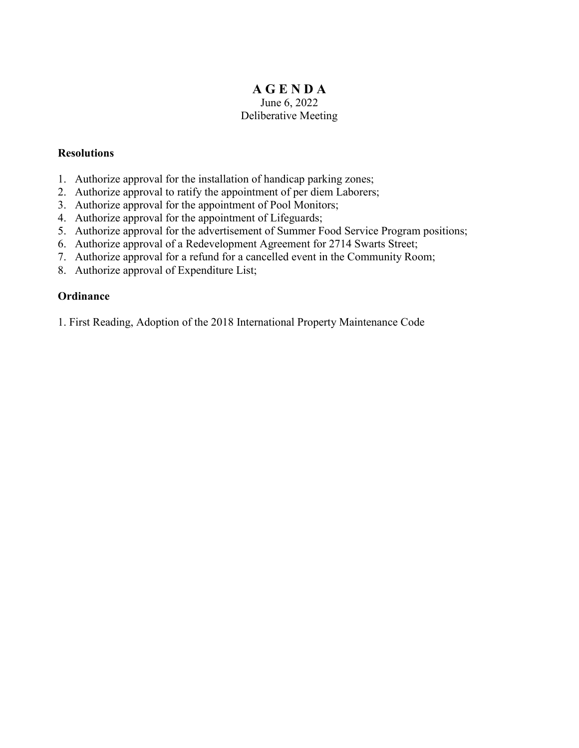# **A G E N D A**  June 6, 2022 Deliberative Meeting

# **Resolutions**

- 1. Authorize approval for the installation of handicap parking zones;
- 2. Authorize approval to ratify the appointment of per diem Laborers;
- 3. Authorize approval for the appointment of Pool Monitors;
- 4. Authorize approval for the appointment of Lifeguards;
- 5. Authorize approval for the advertisement of Summer Food Service Program positions;
- 6. Authorize approval of a Redevelopment Agreement for 2714 Swarts Street;
- 7. Authorize approval for a refund for a cancelled event in the Community Room;
- 8. Authorize approval of Expenditure List;

# **Ordinance**

1. First Reading, Adoption of the 2018 International Property Maintenance Code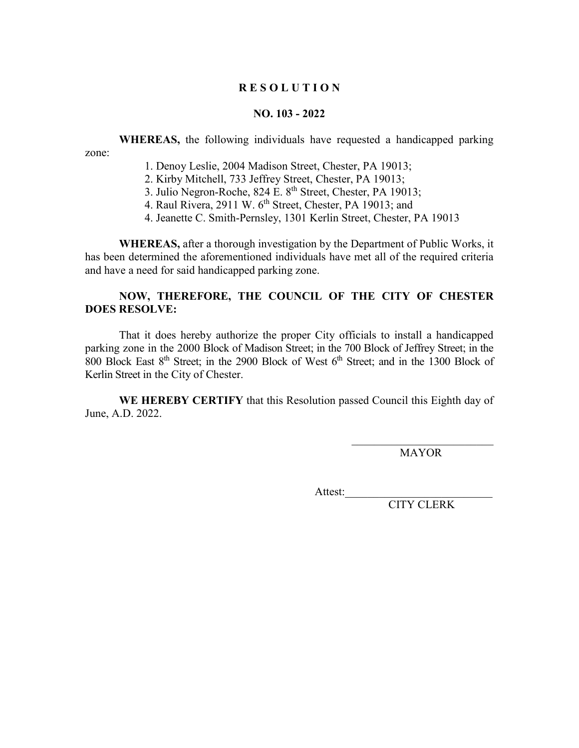#### **NO. 103 - 2022**

**WHEREAS,** the following individuals have requested a handicapped parking zone:

- 1. Denoy Leslie, 2004 Madison Street, Chester, PA 19013;
- 2. Kirby Mitchell, 733 Jeffrey Street, Chester, PA 19013;
- 3. Julio Negron-Roche, 824 E. 8<sup>th</sup> Street, Chester, PA 19013;
- 4. Raul Rivera, 2911 W. 6th Street, Chester, PA 19013; and
- 4. Jeanette C. Smith-Pernsley, 1301 Kerlin Street, Chester, PA 19013

**WHEREAS,** after a thorough investigation by the Department of Public Works, it has been determined the aforementioned individuals have met all of the required criteria and have a need for said handicapped parking zone.

# **NOW, THEREFORE, THE COUNCIL OF THE CITY OF CHESTER DOES RESOLVE:**

That it does hereby authorize the proper City officials to install a handicapped parking zone in the 2000 Block of Madison Street; in the 700 Block of Jeffrey Street; in the 800 Block East  $8<sup>th</sup>$  Street; in the 2900 Block of West  $6<sup>th</sup>$  Street; and in the 1300 Block of Kerlin Street in the City of Chester.

**WE HEREBY CERTIFY** that this Resolution passed Council this Eighth day of June, A.D. 2022.

MAYOR

Attest: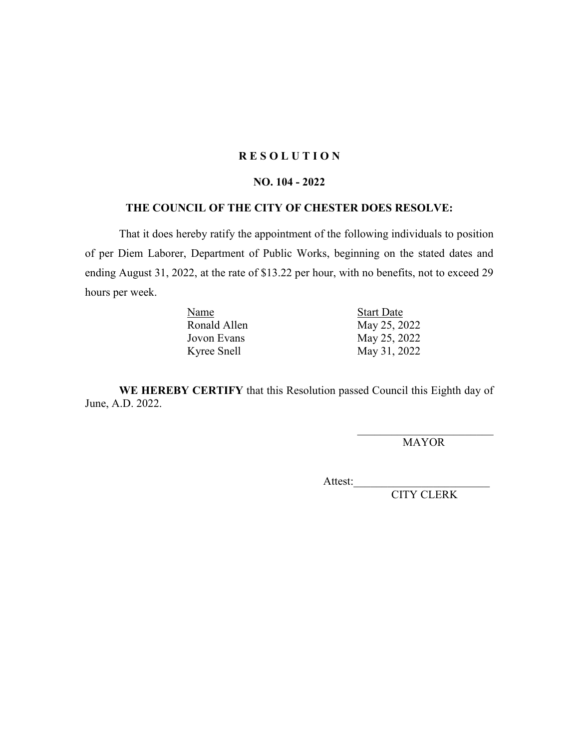#### **NO. 104 - 2022**

## **THE COUNCIL OF THE CITY OF CHESTER DOES RESOLVE:**

That it does hereby ratify the appointment of the following individuals to position of per Diem Laborer, Department of Public Works, beginning on the stated dates and ending August 31, 2022, at the rate of \$13.22 per hour, with no benefits, not to exceed 29 hours per week.

| Name         | <b>Start Date</b> |  |
|--------------|-------------------|--|
| Ronald Allen | May 25, 2022      |  |
| Jovon Evans  | May 25, 2022      |  |
| Kyree Snell  | May 31, 2022      |  |

**WE HEREBY CERTIFY** that this Resolution passed Council this Eighth day of June, A.D. 2022.

> \_\_\_\_\_\_\_\_\_\_\_\_\_\_\_\_\_\_\_\_\_\_\_\_ MAYOR

Attest: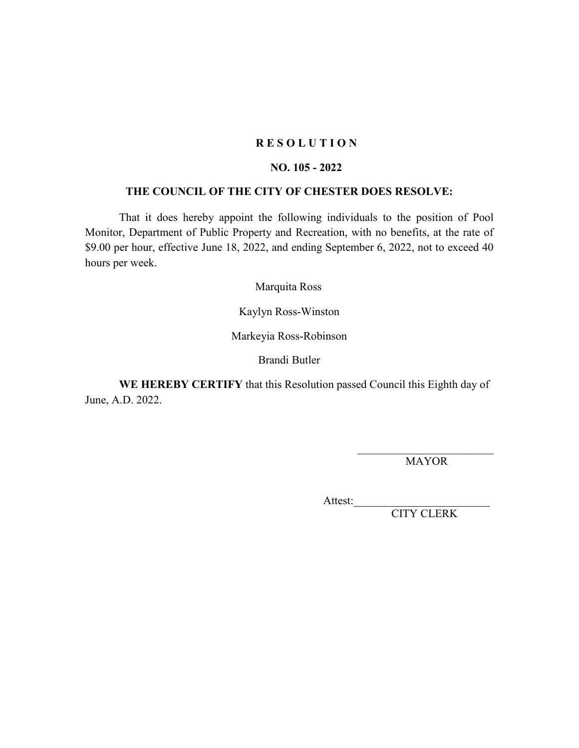## **NO. 105 - 2022**

# **THE COUNCIL OF THE CITY OF CHESTER DOES RESOLVE:**

That it does hereby appoint the following individuals to the position of Pool Monitor, Department of Public Property and Recreation, with no benefits, at the rate of \$9.00 per hour, effective June 18, 2022, and ending September 6, 2022, not to exceed 40 hours per week.

Marquita Ross

Kaylyn Ross-Winston

Markeyia Ross-Robinson

Brandi Butler

**WE HEREBY CERTIFY** that this Resolution passed Council this Eighth day of June, A.D. 2022.

> \_\_\_\_\_\_\_\_\_\_\_\_\_\_\_\_\_\_\_\_\_\_\_\_ MAYOR

Attest:\_\_\_\_\_\_\_\_\_\_\_\_\_\_\_\_\_\_\_\_\_\_\_\_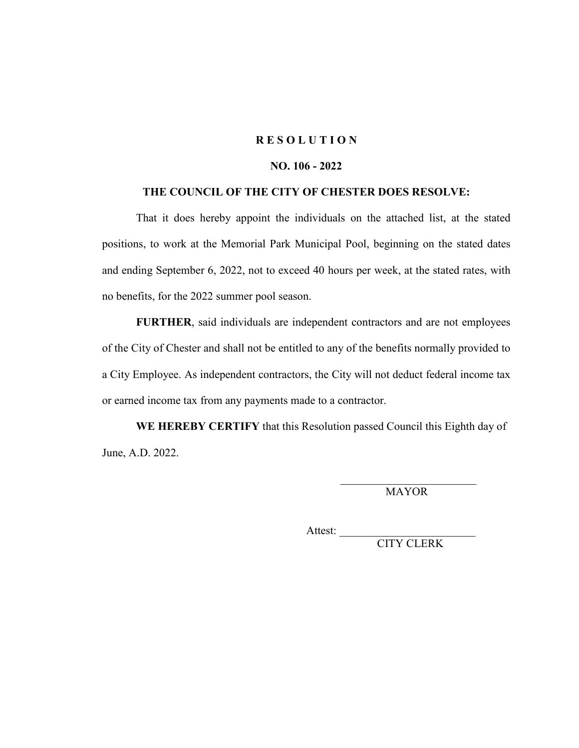## **NO. 106 - 2022**

#### **THE COUNCIL OF THE CITY OF CHESTER DOES RESOLVE:**

That it does hereby appoint the individuals on the attached list, at the stated positions, to work at the Memorial Park Municipal Pool, beginning on the stated dates and ending September 6, 2022, not to exceed 40 hours per week, at the stated rates, with no benefits, for the 2022 summer pool season.

**FURTHER**, said individuals are independent contractors and are not employees of the City of Chester and shall not be entitled to any of the benefits normally provided to a City Employee. As independent contractors, the City will not deduct federal income tax or earned income tax from any payments made to a contractor.

**WE HEREBY CERTIFY** that this Resolution passed Council this Eighth day of June, A.D. 2022.

> $\overline{\phantom{a}}$  , which is a set of the set of the set of the set of the set of the set of the set of the set of the set of the set of the set of the set of the set of the set of the set of the set of the set of the set of th MAYOR

Attest:  $\frac{1}{\sqrt{1-\frac{1}{2}}\cdot\frac{1}{\sqrt{1-\frac{1}{2}}}}$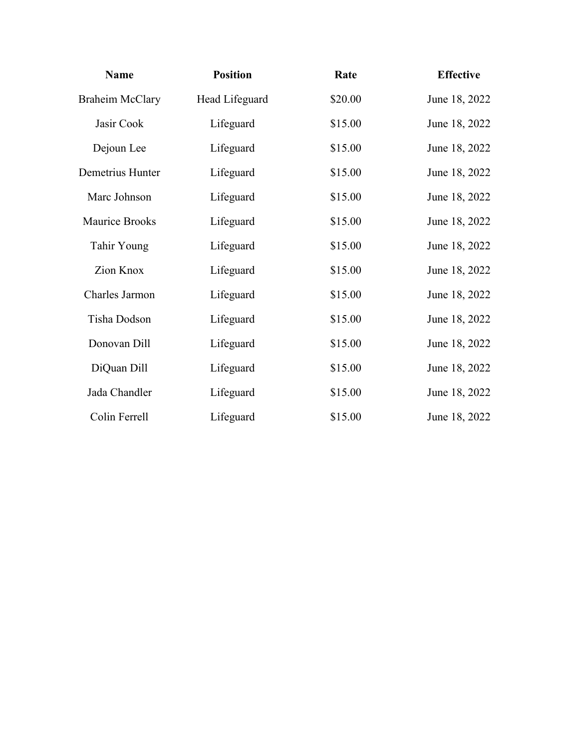| <b>Name</b>            | <b>Position</b> | Rate    | <b>Effective</b> |
|------------------------|-----------------|---------|------------------|
| <b>Braheim McClary</b> | Head Lifeguard  | \$20.00 | June 18, 2022    |
| Jasir Cook             | Lifeguard       | \$15.00 | June 18, 2022    |
| Dejoun Lee             | Lifeguard       | \$15.00 | June 18, 2022    |
| Demetrius Hunter       | Lifeguard       | \$15.00 | June 18, 2022    |
| Marc Johnson           | Lifeguard       | \$15.00 | June 18, 2022    |
| Maurice Brooks         | Lifeguard       | \$15.00 | June 18, 2022    |
| Tahir Young            | Lifeguard       | \$15.00 | June 18, 2022    |
| Zion Knox              | Lifeguard       | \$15.00 | June 18, 2022    |
| Charles Jarmon         | Lifeguard       | \$15.00 | June 18, 2022    |
| Tisha Dodson           | Lifeguard       | \$15.00 | June 18, 2022    |
| Donovan Dill           | Lifeguard       | \$15.00 | June 18, 2022    |
| DiQuan Dill            | Lifeguard       | \$15.00 | June 18, 2022    |
| Jada Chandler          | Lifeguard       | \$15.00 | June 18, 2022    |
| Colin Ferrell          | Lifeguard       | \$15.00 | June 18, 2022    |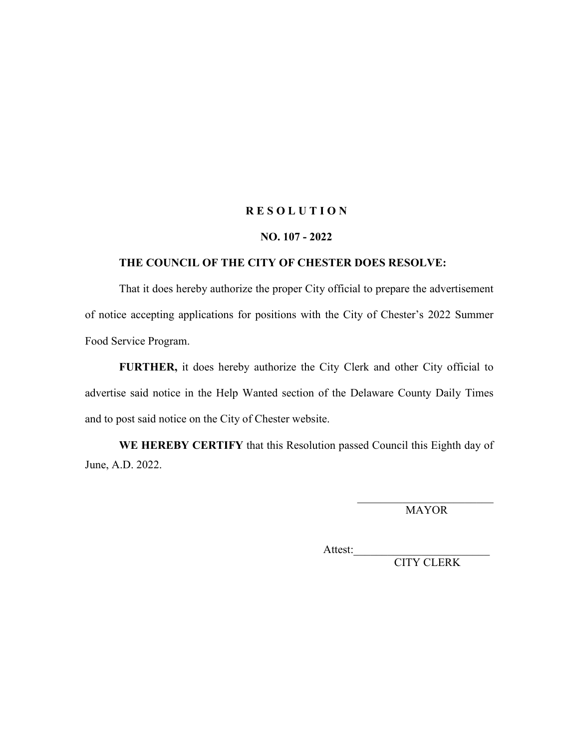#### **NO. 107 - 2022**

#### **THE COUNCIL OF THE CITY OF CHESTER DOES RESOLVE:**

That it does hereby authorize the proper City official to prepare the advertisement of notice accepting applications for positions with the City of Chester's 2022 Summer Food Service Program.

**FURTHER,** it does hereby authorize the City Clerk and other City official to advertise said notice in the Help Wanted section of the Delaware County Daily Times and to post said notice on the City of Chester website.

**WE HEREBY CERTIFY** that this Resolution passed Council this Eighth day of June, A.D. 2022.

> \_\_\_\_\_\_\_\_\_\_\_\_\_\_\_\_\_\_\_\_\_\_\_\_ MAYOR

Attest:\_\_\_\_\_\_\_\_\_\_\_\_\_\_\_\_\_\_\_\_\_\_\_\_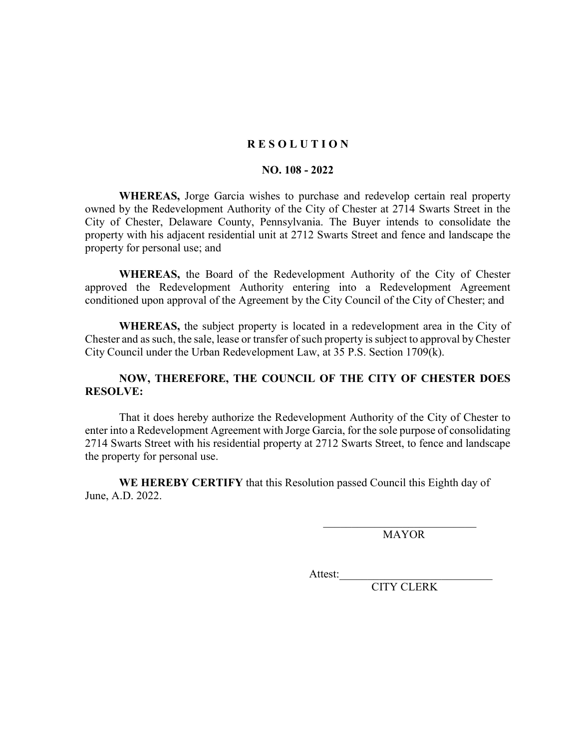#### **NO. 108 - 2022**

**WHEREAS,** Jorge Garcia wishes to purchase and redevelop certain real property owned by the Redevelopment Authority of the City of Chester at 2714 Swarts Street in the City of Chester, Delaware County, Pennsylvania. The Buyer intends to consolidate the property with his adjacent residential unit at 2712 Swarts Street and fence and landscape the property for personal use; and

**WHEREAS,** the Board of the Redevelopment Authority of the City of Chester approved the Redevelopment Authority entering into a Redevelopment Agreement conditioned upon approval of the Agreement by the City Council of the City of Chester; and

**WHEREAS,** the subject property is located in a redevelopment area in the City of Chester and as such, the sale, lease or transfer of such property is subject to approval by Chester City Council under the Urban Redevelopment Law, at 35 P.S. Section 1709(k).

# **NOW, THEREFORE, THE COUNCIL OF THE CITY OF CHESTER DOES RESOLVE:**

That it does hereby authorize the Redevelopment Authority of the City of Chester to enter into a Redevelopment Agreement with Jorge Garcia, for the sole purpose of consolidating 2714 Swarts Street with his residential property at 2712 Swarts Street, to fence and landscape the property for personal use.

**WE HEREBY CERTIFY** that this Resolution passed Council this Eighth day of June, A.D. 2022.

MAYOR

Attest: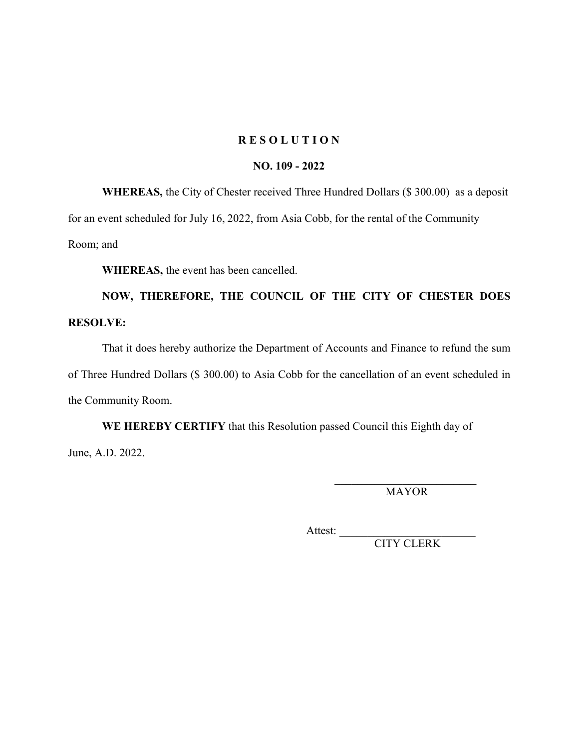#### **NO. 109 - 2022**

**WHEREAS,** the City of Chester received Three Hundred Dollars (\$ 300.00) as a deposit for an event scheduled for July 16, 2022, from Asia Cobb, for the rental of the Community

Room; and

**WHEREAS,** the event has been cancelled.

# **NOW, THEREFORE, THE COUNCIL OF THE CITY OF CHESTER DOES RESOLVE:**

That it does hereby authorize the Department of Accounts and Finance to refund the sum of Three Hundred Dollars (\$ 300.00) to Asia Cobb for the cancellation of an event scheduled in the Community Room.

**WE HEREBY CERTIFY** that this Resolution passed Council this Eighth day of June, A.D. 2022.

> \_\_\_\_\_\_\_\_\_\_\_\_\_\_\_\_\_\_\_\_\_\_\_\_\_ MAYOR

Attest: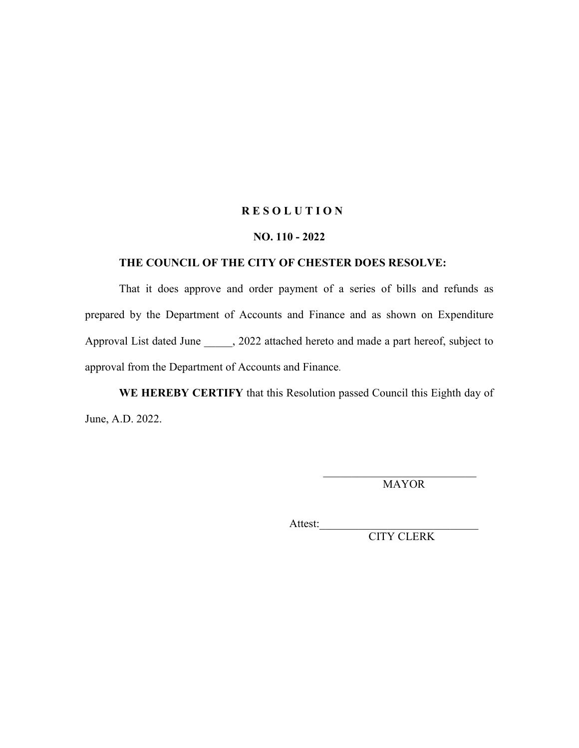#### **NO. 110 - 2022**

#### **THE COUNCIL OF THE CITY OF CHESTER DOES RESOLVE:**

That it does approve and order payment of a series of bills and refunds as prepared by the Department of Accounts and Finance and as shown on Expenditure Approval List dated June \_\_\_\_\_, 2022 attached hereto and made a part hereof, subject to approval from the Department of Accounts and Finance.

**WE HEREBY CERTIFY** that this Resolution passed Council this Eighth day of June, A.D. 2022.

MAYOR

Attest:\_\_\_\_\_\_\_\_\_\_\_\_\_\_\_\_\_\_\_\_\_\_\_\_\_\_\_\_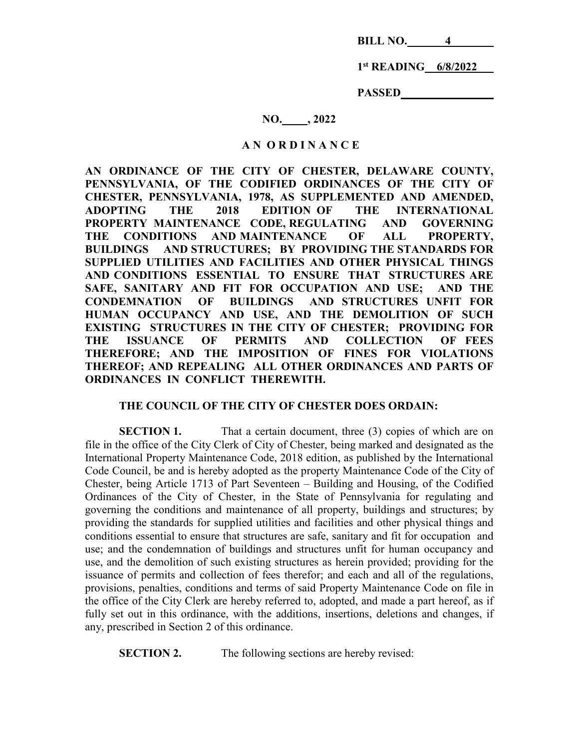**BILL NO. 4** 

 **1st READING 6/8/2022** 

 **PASSED** 

## **NO. , 2022**

#### **A N O R D I N A N C E**

**AN ORDINANCE OF THE CITY OF CHESTER, DELAWARE COUNTY, PENNSYLVANIA, OF THE CODIFIED ORDINANCES OF THE CITY OF CHESTER, PENNSYLVANIA, 1978, AS SUPPLEMENTED AND AMENDED, ADOPTING THE 2018 EDITION OF THE INTERNATIONAL PROPERTY MAINTENANCE CODE, REGULATING AND GOVERNING THE CONDITIONS AND MAINTENANCE OF ALL PROPERTY, BUILDINGS AND STRUCTURES; BY PROVIDING THE STANDARDS FOR SUPPLIED UTILITIES AND FACILITIES AND OTHER PHYSICAL THINGS AND CONDITIONS ESSENTIAL TO ENSURE THAT STRUCTURES ARE SAFE, SANITARY AND FIT FOR OCCUPATION AND USE; AND THE CONDEMNATION OF BUILDINGS AND STRUCTURES UNFIT FOR HUMAN OCCUPANCY AND USE, AND THE DEMOLITION OF SUCH EXISTING STRUCTURES IN THE CITY OF CHESTER; PROVIDING FOR THE ISSUANCE OF PERMITS AND COLLECTION OF FEES THEREFORE; AND THE IMPOSITION OF FINES FOR VIOLATIONS THEREOF; AND REPEALING ALL OTHER ORDINANCES AND PARTS OF ORDINANCES IN CONFLICT THEREWITH.**

# **THE COUNCIL OF THE CITY OF CHESTER DOES ORDAIN:**

**SECTION 1.** That a certain document, three (3) copies of which are on file in the office of the City Clerk of City of Chester, being marked and designated as the International Property Maintenance Code, 2018 edition, as published by the International Code Council, be and is hereby adopted as the property Maintenance Code of the City of Chester, being Article 1713 of Part Seventeen – Building and Housing, of the Codified Ordinances of the City of Chester, in the State of Pennsylvania for regulating and governing the conditions and maintenance of all property, buildings and structures; by providing the standards for supplied utilities and facilities and other physical things and conditions essential to ensure that structures are safe, sanitary and fit for occupation and use; and the condemnation of buildings and structures unfit for human occupancy and use, and the demolition of such existing structures as herein provided; providing for the issuance of permits and collection of fees therefor; and each and all of the regulations, provisions, penalties, conditions and terms of said Property Maintenance Code on file in the office of the City Clerk are hereby referred to, adopted, and made a part hereof, as if fully set out in this ordinance, with the additions, insertions, deletions and changes, if any, prescribed in Section 2 of this ordinance.

**SECTION 2.** The following sections are hereby revised: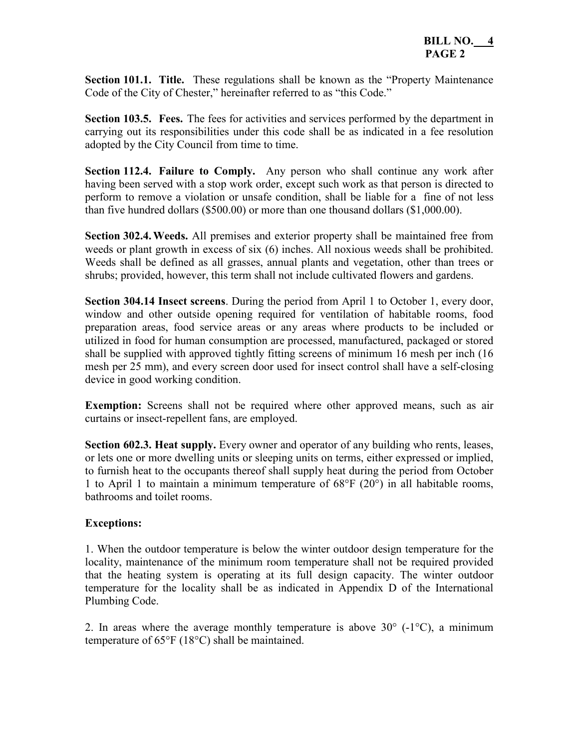**Section 101.1. Title.** These regulations shall be known as the "Property Maintenance Code of the City of Chester," hereinafter referred to as "this Code."

**Section 103.5. Fees.** The fees for activities and services performed by the department in carrying out its responsibilities under this code shall be as indicated in a fee resolution adopted by the City Council from time to time.

**Section 112.4. Failure to Comply.** Any person who shall continue any work after having been served with a stop work order, except such work as that person is directed to perform to remove a violation or unsafe condition, shall be liable for a fine of not less than five hundred dollars (\$500.00) or more than one thousand dollars (\$1,000.00).

**Section 302.4. Weeds.** All premises and exterior property shall be maintained free from weeds or plant growth in excess of six (6) inches. All noxious weeds shall be prohibited. Weeds shall be defined as all grasses, annual plants and vegetation, other than trees or shrubs; provided, however, this term shall not include cultivated flowers and gardens.

**Section 304.14 Insect screens**. During the period from April 1 to October 1, every door, window and other outside opening required for ventilation of habitable rooms, food preparation areas, food service areas or any areas where products to be included or utilized in food for human consumption are processed, manufactured, packaged or stored shall be supplied with approved tightly fitting screens of minimum 16 mesh per inch (16 mesh per 25 mm), and every screen door used for insect control shall have a self-closing device in good working condition.

**Exemption:** Screens shall not be required where other approved means, such as air curtains or insect-repellent fans, are employed.

**Section 602.3. Heat supply.** Every owner and operator of any building who rents, leases, or lets one or more dwelling units or sleeping units on terms, either expressed or implied, to furnish heat to the occupants thereof shall supply heat during the period from October 1 to April 1 to maintain a minimum temperature of 68°F (20°) in all habitable rooms, bathrooms and toilet rooms.

# **Exceptions:**

1. When the outdoor temperature is below the winter outdoor design temperature for the locality, maintenance of the minimum room temperature shall not be required provided that the heating system is operating at its full design capacity. The winter outdoor temperature for the locality shall be as indicated in Appendix D of the International Plumbing Code.

2. In areas where the average monthly temperature is above  $30^{\circ}$  (-1 $^{\circ}$ C), a minimum temperature of 65°F (18°C) shall be maintained.